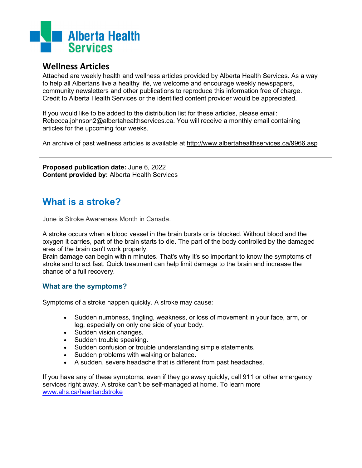

## **Wellness Articles**

Attached are weekly health and wellness articles provided by Alberta Health Services. As a way to help all Albertans live a healthy life, we welcome and encourage weekly newspapers, community newsletters and other publications to reproduce this information free of charge. Credit to Alberta Health Services or the identified content provider would be appreciated.

If you would like to be added to the distribution list for these articles, please email: [Rebecca.johnson2@albertahealthservices.ca.](mailto:Rebecca.johnson2@albertahealthservices.ca) You will receive a monthly email containing articles for the upcoming four weeks.

An archive of past wellness articles is available at<http://www.albertahealthservices.ca/9966.asp>

**Proposed publication date:** June 6, 2022 **Content provided by:** Alberta Health Services

## **What is a stroke?**

June is Stroke Awareness Month in Canada.

A stroke occurs when a blood vessel in the brain bursts or is blocked. Without blood and the oxygen it carries, part of the brain starts to die. The part of the body controlled by the damaged area of the brain can't work properly.

Brain damage can begin within minutes. That's why it's so important to know the symptoms of stroke and to act fast. Quick treatment can help limit damage to the brain and increase the chance of a full recovery.

## **What are the symptoms?**

Symptoms of a stroke happen quickly. A stroke may cause:

- Sudden numbness, tingling, weakness, or loss of movement in your face, arm, or leg, especially on only one side of your body.
- Sudden vision changes.
- Sudden trouble speaking.
- Sudden confusion or trouble understanding simple statements.
- Sudden problems with walking or balance.
- A sudden, severe headache that is different from past headaches.

If you have any of these symptoms, even if they go away quickly, call 911 or other emergency services right away. A stroke can't be self-managed at home. To learn more [www.ahs.ca/heartandstroke](http://www.ahs.ca/heartandstroke)